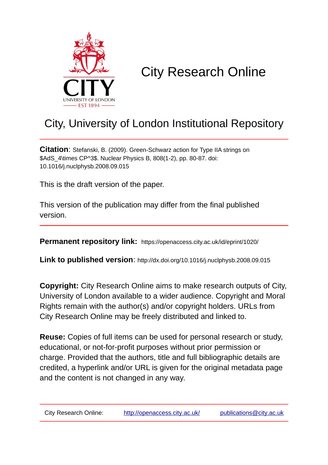

# City Research Online

## City, University of London Institutional Repository

**Citation**: Stefanski, B. (2009). Green-Schwarz action for Type IIA strings on \$AdS\_4\times CP^3\$. Nuclear Physics B, 808(1-2), pp. 80-87. doi: 10.1016/j.nuclphysb.2008.09.015

This is the draft version of the paper.

This version of the publication may differ from the final published version.

**Permanent repository link:** https://openaccess.city.ac.uk/id/eprint/1020/

**Link to published version**: http://dx.doi.org/10.1016/j.nuclphysb.2008.09.015

**Copyright:** City Research Online aims to make research outputs of City, University of London available to a wider audience. Copyright and Moral Rights remain with the author(s) and/or copyright holders. URLs from City Research Online may be freely distributed and linked to.

**Reuse:** Copies of full items can be used for personal research or study, educational, or not-for-profit purposes without prior permission or charge. Provided that the authors, title and full bibliographic details are credited, a hyperlink and/or URL is given for the original metadata page and the content is not changed in any way.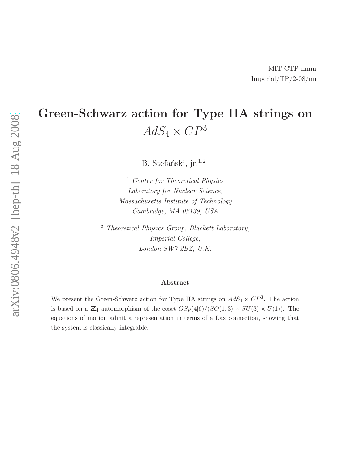## Green-Schwarz action for Type IIA strings on  $AdS_4 \times CP^3$

B. Stefański, jr.<sup>1,2</sup>

<sup>1</sup> Center for Theoretical Physics Laboratory for Nuclear Science, Massachusetts Institute of Technology Cambridge, MA 02139, USA

<sup>2</sup> Theoretical Physics Group, Blackett Laboratory, Imperial College, London SW7 2BZ, U.K.

#### Abstract

We present the Green-Schwarz action for Type IIA strings on  $AdS_4 \times CP^3$ . The action is based on a  $\mathbb{Z}_4$  automorphism of the coset  $OSp(4|6)/(SO(1,3) \times SU(3) \times U(1))$ . The equations of motion admit a representation in terms of a Lax connection, showing that the system is classically integrable.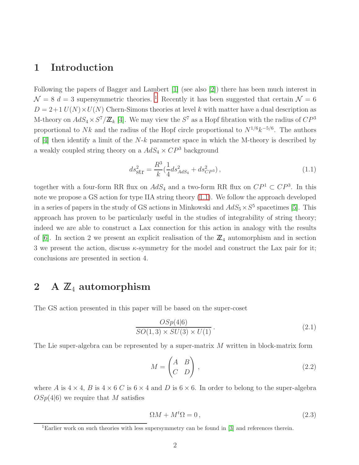### 1 Introduction

Following the papers of Bagger and Lambert [\[1\]](#page-10-0) (see also [\[2\]](#page-10-1)) there has been much interest in  $\mathcal{N} = 8$  d = 3 supersymmetric theories. <sup>[1](#page-2-0)</sup> Recently it has been suggested that certain  $\mathcal{N} = 6$  $D = 2+1$   $U(N) \times U(N)$  Chern-Simons theories at level k with matter have a dual description as M-theory on  $AdS_4 \times S^7/\mathbb{Z}_k$  [\[4\]](#page-10-2). We may view the  $S^7$  as a Hopf fibration with the radius of  $CP^3$ proportional to Nk and the radius of the Hopf circle proportional to  $N^{1/6}k^{-5/6}$ . The authors of  $[4]$  then identify a limit of the N-k parameter space in which the M-theory is described by a weakly coupled string theory on a  $AdS_4 \times CP^3$  background

<span id="page-2-1"></span>
$$
ds_{\rm Str}^2 = \frac{R^3}{k} \left(\frac{1}{4} ds_{AdS_4}^2 + ds_{CP^3}^2\right),\tag{1.1}
$$

together with a four-form RR flux on  $AdS_4$  and a two-form RR flux on  $\mathbb{CP}^1 \subset \mathbb{CP}^3$ . In this note we propose a GS action for type IIA string theory [\(1.1\)](#page-2-1). We follow the approach developed in a series of papers in the study of GS actions in Minkowski and  $AdS_5 \times S^5$  spacetimes [\[5\]](#page-10-3). This approach has proven to be particularly useful in the studies of integrability of string theory; indeed we are able to construct a Lax connection for this action in analogy with the results of [\[6\]](#page-10-4). In section 2 we present an explicit realisation of the  $\mathbb{Z}_4$  automorphism and in section 3 we present the action, discuss  $\kappa$ -symmetry for the model and construct the Lax pair for it; conclusions are presented in section 4.

### 2 A  $\mathbb{Z}_4$  automorphism

The GS action presented in this paper will be based on the super-coset

<span id="page-2-2"></span>
$$
\frac{OSp(4|6)}{SO(1,3)\times SU(3)\times U(1)}\tag{2.1}
$$

The Lie super-algebra can be represented by a super-matrix M written in block-matrix form

$$
M = \begin{pmatrix} A & B \\ C & D \end{pmatrix},\tag{2.2}
$$

where A is  $4 \times 4$ , B is  $4 \times 6$  C is  $6 \times 4$  and D is  $6 \times 6$ . In order to belong to the super-algebra  $OSp(4|6)$  we require that M satisfies

$$
\Omega M + M^t \Omega = 0, \qquad (2.3)
$$

<span id="page-2-0"></span><sup>&</sup>lt;sup>1</sup>Earlier work on such theories with less supersymmetry can be found in [\[3\]](#page-10-5) and references therein.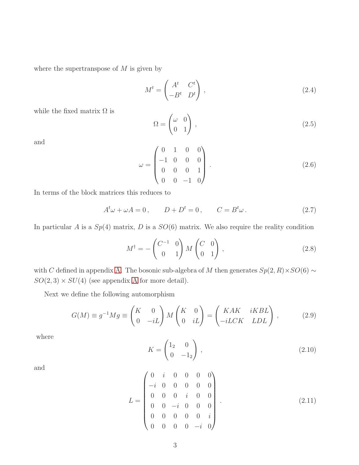where the supertranspose of  $M$  is given by

$$
M^t = \begin{pmatrix} A^t & C^t \\ -B^t & D^t \end{pmatrix},\tag{2.4}
$$

while the fixed matrix  $\Omega$  is

$$
\Omega = \begin{pmatrix} \omega & 0 \\ 0 & 1 \end{pmatrix}, \tag{2.5}
$$

and

$$
\omega = \begin{pmatrix} 0 & 1 & 0 & 0 \\ -1 & 0 & 0 & 0 \\ 0 & 0 & 0 & 1 \\ 0 & 0 & -1 & 0 \end{pmatrix} . \tag{2.6}
$$

In terms of the block matrices this reduces to

<span id="page-3-0"></span>
$$
At \omega + \omega A = 0, \qquad D + Dt = 0, \qquad C = Bt \omega.
$$
 (2.7)

In particular A is a  $Sp(4)$  matrix, D is a  $SO(6)$  matrix. We also require the reality condition

<span id="page-3-1"></span>
$$
M^{\dagger} = -\begin{pmatrix} C^{-1} & 0 \\ 0 & 1 \end{pmatrix} M \begin{pmatrix} C & 0 \\ 0 & 1 \end{pmatrix}, \qquad (2.8)
$$

with C defined in appendix [A.](#page-8-0) The bosonic sub-algebra of M then generates  $Sp(2, R) \times SO(6) \sim$  $SO(2,3) \times SU(4)$  (see appendix [A](#page-8-0) for more detail).

Next we define the following automorphism

$$
G(M) \equiv g^{-1}Mg \equiv \begin{pmatrix} K & 0 \\ 0 & -iL \end{pmatrix} M \begin{pmatrix} K & 0 \\ 0 & iL \end{pmatrix} = \begin{pmatrix} KAK & iKBL \\ -iLCK & LDL \end{pmatrix}, \quad (2.9)
$$

where

$$
K = \begin{pmatrix} 1_2 & 0 \\ 0 & -1_2 \end{pmatrix},\tag{2.10}
$$

and

$$
L = \begin{pmatrix} 0 & i & 0 & 0 & 0 & 0 \\ -i & 0 & 0 & 0 & 0 & 0 \\ 0 & 0 & 0 & i & 0 & 0 \\ 0 & 0 & -i & 0 & 0 & 0 \\ 0 & 0 & 0 & 0 & 0 & i \\ 0 & 0 & 0 & 0 & -i & 0 \end{pmatrix} .
$$
 (2.11)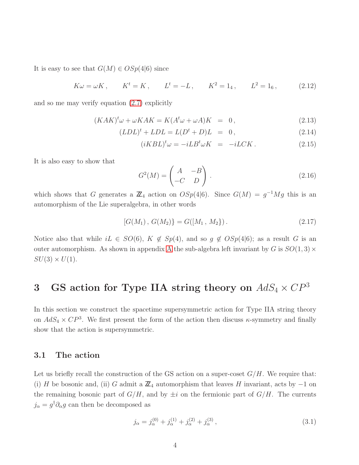It is easy to see that  $G(M) \in OSp(4|6)$  since

$$
K\omega = \omega K
$$
,  $K^t = K$ ,  $L^t = -L$ ,  $K^2 = 1_4$ ,  $L^2 = 1_6$ , (2.12)

and so me may verify equation [\(2.7\)](#page-3-0) explicitly

$$
(KAK)^{t}\omega + \omega KAK = K(A^{t}\omega + \omega A)K = 0, \qquad (2.13)
$$

$$
(LDL)^{t} + LDL = L(D^{t} + D)L = 0, \qquad (2.14)
$$

$$
(iKBL)^{t}\omega = -iLB^{t}\omega K = -iLCK.
$$
 (2.15)

It is also easy to show that

$$
G^{2}(M) = \begin{pmatrix} A & -B \\ -C & D \end{pmatrix}.
$$
 (2.16)

which shows that G generates a  $\mathbb{Z}_4$  action on  $OSp(4|6)$ . Since  $G(M) = g^{-1}Mg$  this is an automorphism of the Lie superalgebra, in other words

$$
[G(M_1), G(M_2)] = G([M_1, M_2]). \qquad (2.17)
$$

Notice also that while  $iL \in SO(6)$ ,  $K \notin Sp(4)$ , and so  $g \notin OSp(4|6)$ ; as a result G is an outer automorphism. [A](#page-8-0)s shown in appendix A the sub-algebra left invariant by G is  $SO(1,3) \times$  $SU(3) \times U(1)$ .

## 3 GS action for Type IIA string theory on  $AdS_4 \times CP^3$

In this section we construct the spacetime supersymmetric action for Type IIA string theory on  $AdS_4 \times CP^3$ . We first present the form of the action then discuss  $\kappa$ -symmetry and finally show that the action is supersymmetric.

#### 3.1 The action

Let us briefly recall the construction of the GS action on a super-coset  $G/H$ . We require that: (i) H be bosonic and, (ii) G admit a  $\mathbb{Z}_4$  automorphism that leaves H invariant, acts by  $-1$  on the remaining bosonic part of  $G/H$ , and by  $\pm i$  on the fermionic part of  $G/H$ . The currents  $j_{\alpha} = g^{\dagger} \partial_{\alpha} g$  can then be decomposed as

$$
j_{\alpha} = j_{\alpha}^{(0)} + j_{\alpha}^{(1)} + j_{\alpha}^{(2)} + j_{\alpha}^{(3)},
$$
\n(3.1)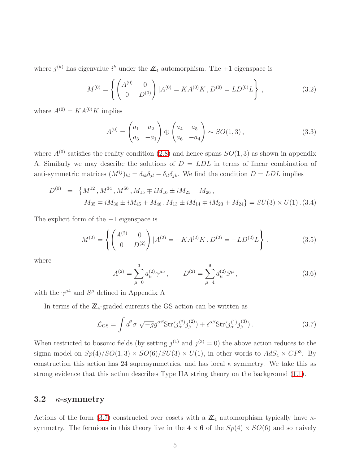where  $j^{(k)}$  has eigenvalue  $i^k$  under the  $\mathbb{Z}_4$  automorphism. The +1 eigenspace is

$$
M^{(0)} = \left\{ \begin{pmatrix} A^{(0)} & 0 \\ 0 & D^{(0)} \end{pmatrix} | A^{(0)} = KA^{(0)}K, D^{(0)} = LD^{(0)}L \right\},
$$
\n(3.2)

where  $A^{(0)} = KA^{(0)}K$  implies

$$
A^{(0)} = \begin{pmatrix} a_1 & a_2 \\ a_3 & -a_1 \end{pmatrix} \oplus \begin{pmatrix} a_4 & a_5 \\ a_6 & -a_4 \end{pmatrix} \sim SO(1,3), \tag{3.3}
$$

where  $A^{(0)}$  satisfies the reality condition [\(2.8\)](#page-3-1) and hence spans  $SO(1,3)$  as shown in appendix A. Similarly we may describe the solutions of  $D = LDL$  in terms of linear combination of anti-symmetric matrices  $(M^{ij})_{kl} = \delta_{ik}\delta_{jl} - \delta_{il}\delta_{jk}$ . We find the condition  $D = LDL$  implies

<span id="page-5-1"></span>
$$
D^{(0)} = \{M^{12}, M^{34}, M^{56}, M_{15} \mp iM_{16} \pm iM_{25} + M_{26},
$$
  

$$
M_{35} \mp iM_{36} \pm iM_{45} + M_{46}, M_{13} \pm iM_{14} \mp iM_{23} + M_{24}\} = SU(3) \times U(1) . (3.4)
$$

The explicit form of the −1 eigenspace is

$$
M^{(2)} = \left\{ \begin{pmatrix} A^{(2)} & 0 \\ 0 & D^{(2)} \end{pmatrix} | A^{(2)} = -KA^{(2)}K, D^{(2)} = -LD^{(2)}L \right\},
$$
(3.5)

where

$$
A^{(2)} = \sum_{\mu=0}^{3} a_{\mu}^{(2)} \gamma^{\mu 5}, \qquad D^{(2)} = \sum_{\mu=4}^{9} d_{\mu}^{(2)} S^{\mu}, \qquad (3.6)
$$

with the  $\gamma^{\mu 4}$  and  $S^{\mu}$  defined in Appendix A

In terms of the  $\mathbb{Z}_4$ -graded currents the GS action can be written as

<span id="page-5-0"></span>
$$
\mathcal{L}_{\text{GS}} = \int d^2 \sigma \sqrt{-g} g^{\alpha \beta} \text{Str}(j_{\alpha}^{(2)} j_{\beta}^{(2)}) + \epsilon^{\alpha \beta} \text{Str}(j_{\alpha}^{(1)} j_{\beta}^{(3)}) \,. \tag{3.7}
$$

When restricted to bosonic fields (by setting  $j^{(1)}$  and  $j^{(3)} = 0$ ) the above action reduces to the sigma model on  $Sp(4)/SO(1,3) \times SO(6)/SU(3) \times U(1)$ , in other words to  $AdS_4 \times CP^3$ . By construction this action has 24 supersymmetries, and has local  $\kappa$  symmetry. We take this as strong evidence that this action describes Type IIA string theory on the background [\(1.1\)](#page-2-1).

#### 3.2  $\kappa$ -symmetry

Actions of the form [\(3.7\)](#page-5-0) constructed over cosets with a  $\mathbb{Z}_4$  automorphism typically have  $\kappa$ symmetry. The fermions in this theory live in the  $4 \times 6$  of the  $Sp(4) \times SO(6)$  and so naively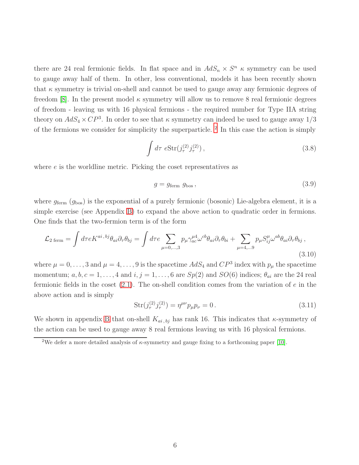there are 24 real fermionic fields. In flat space and in  $AdS_n \times S^n$   $\kappa$  symmetry can be used to gauge away half of them. In other, less conventional, models it has been recently shown that  $\kappa$  symmetry is trivial on-shell and cannot be used to gauge away any fermionic degrees of freedom [\[8\]](#page-10-6). In the present model  $\kappa$  symmetry will allow us to remove 8 real fermionic degrees of freedom - leaving us with 16 physical fermions - the required number for Type IIA string theory on  $AdS_4 \times CP^3$ . In order to see that  $\kappa$  symmetry can indeed be used to gauge away  $1/3$ of the fermions we consider for simplicity the superparticle. <sup>[2](#page-6-0)</sup> In this case the action is simply

<span id="page-6-2"></span>
$$
\int d\tau \, e(2) \, f_{\tau}^{(2)} \, f_{\tau}^{(2)} \, , \tag{3.8}
$$

where *e* is the worldline metric. Picking the coset representatives as

<span id="page-6-1"></span>
$$
g = g_{\text{ferm}} \ g_{\text{bos}} \,, \tag{3.9}
$$

where  $g_{\text{ferm}}(g_{\text{bos}})$  is the exponential of a purely fermionic (bosonic) Lie-algebra element, it is a simple exercise (see Appendix [B\)](#page-9-0) to expand the above action to quadratic order in fermions. One finds that the two-fermion term is of the form

<span id="page-6-3"></span>
$$
\mathcal{L}_{2 \text{ ferm}} = \int d\tau e K^{ai, bj} \theta_{ai} \partial_{\tau} \theta_{bj} = \int d\tau e \sum_{\mu=0,...,3} p_{\mu} \gamma_{ac}^{\mu 4} \omega^{cb} \theta_{ai} \partial_{\tau} \theta_{bi} + \sum_{\mu=4,...9} p_{\mu} S_{ij}^{\mu} \omega^{ab} \theta_{ai} \partial_{\tau} \theta_{bj},
$$
\n(3.10)

where  $\mu = 0, \ldots, 3$  and  $\mu = 4, \ldots, 9$  is the spacetime  $AdS_4$  and  $CP^3$  index with  $p_{\mu}$  the spacetime momentum;  $a, b, c = 1, ..., 4$  and  $i, j = 1, ..., 6$  are  $Sp(2)$  and  $SO(6)$  indices;  $\theta_{ai}$  are the 24 real fermionic fields in the coset  $(2.1)$ . The on-shell condition comes from the variation of e in the above action and is simply

<span id="page-6-4"></span>
$$
Str(j_{\tau}^{(2)} j_{\tau}^{(2)}) = \eta^{\mu\nu} p_{\mu} p_{\nu} = 0.
$$
 (3.11)

We shown in appendix [B](#page-9-0) that on-shell  $K_{ai, bj}$  has rank 16. This indicates that  $\kappa$ -symmetry of the action can be used to gauge away 8 real fermions leaving us with 16 physical fermions.

<span id="page-6-0"></span><sup>&</sup>lt;sup>2</sup>We defer a more detailed analysis of  $\kappa$ -symmetry and gauge fixing to a forthcoming paper [\[10\]](#page-10-7).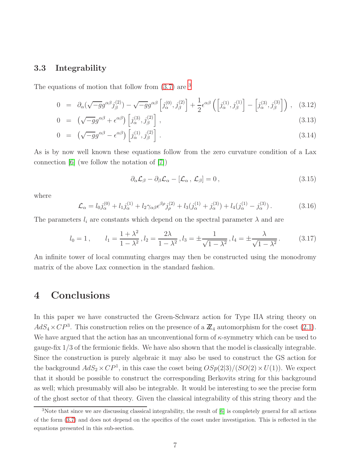#### 3.3 Integrability

The equations of motion that follow from  $(3.7)$  $(3.7)$  $(3.7)$  are <sup>3</sup>

$$
0 = \partial_{\alpha}(\sqrt{-g}g^{\alpha\beta}j_{\beta}^{(2)}) - \sqrt{-g}g^{\alpha\beta}\left[j_{\alpha}^{(0)}, j_{\beta}^{(2)}\right] + \frac{1}{2}\epsilon^{\alpha\beta}\left(\left[j_{\alpha}^{(1)}, j_{\beta}^{(1)}\right] - \left[j_{\alpha}^{(3)}, j_{\beta}^{(3)}\right]\right), \quad (3.12)
$$

$$
0 = \left(\sqrt{-g}g^{\alpha\beta} + \epsilon^{\alpha\beta}\right)\left[j^{(3)}_{\alpha}, j^{(2)}_{\beta}\right],\tag{3.13}
$$

$$
0 = \left(\sqrt{-g}g^{\alpha\beta} - \epsilon^{\alpha\beta}\right)\left[j^{(1)}_{\alpha}, j^{(2)}_{\beta}\right]. \tag{3.14}
$$

As is by now well known these equations follow from the zero curvature condition of a Lax connection [\[6\]](#page-10-4) (we follow the notation of [\[7\]](#page-10-8))

$$
\partial_{\alpha}\mathcal{L}_{\beta} - \partial_{\beta}\mathcal{L}_{\alpha} - [\mathcal{L}_{\alpha}, \mathcal{L}_{\beta}] = 0, \qquad (3.15)
$$

where

$$
\mathcal{L}_{\alpha} = l_0 j_{\alpha}^{(0)} + l_1 j_{\alpha}^{(1)} + l_2 \gamma_{\alpha\beta} \epsilon^{\beta \rho} j_{\rho}^{(2)} + l_3 (j_{\alpha}^{(1)} + j_{\alpha}^{(3)}) + l_4 (j_{\alpha}^{(1)} - j_{\alpha}^{(3)}) \,. \tag{3.16}
$$

The parameters  $l_i$  are constants which depend on the spectral parameter  $\lambda$  and are

$$
l_0 = 1
$$
,  $l_1 = \frac{1 + \lambda^2}{1 - \lambda^2}$ ,  $l_2 = \frac{2\lambda}{1 - \lambda^2}$ ,  $l_3 = \pm \frac{1}{\sqrt{1 - \lambda^2}}$ ,  $l_4 = \pm \frac{\lambda}{\sqrt{1 - \lambda^2}}$ . (3.17)

An infinite tower of local commuting charges may then be constructed using the monodromy matrix of the above Lax connection in the standard fashion.

## 4 Conclusions

In this paper we have constructed the Green-Schwarz action for Type IIA string theory on  $AdS_4 \times CP^3$ . This construction relies on the presence of a  $\mathbb{Z}_4$  automorphism for the coset [\(2.1\)](#page-2-2). We have argued that the action has an unconventional form of  $\kappa$ -symmetry which can be used to gauge-fix 1/3 of the fermionic fields. We have also shown that the model is classically integrable. Since the construction is purely algebraic it may also be used to construct the GS action for the background  $AdS_2 \times CP^1$ , in this case the coset being  $OSp(2|3)/(SO(2) \times U(1))$ . We expect that it should be possible to construct the corresponding Berkovits string for this background as well; which presumably will also be integrable. It would be interesting to see the precise form of the ghost sector of that theory. Given the classical integrability of this string theory and the

<span id="page-7-0"></span><sup>3</sup>Note that since we are discussing classical integrability, the result of [\[6\]](#page-10-4) is completely general for all actions of the form [\(3.7\)](#page-5-0) and does not depend on the specifics of the coset under investigation. This is reflected in the equations presented in this sub-section.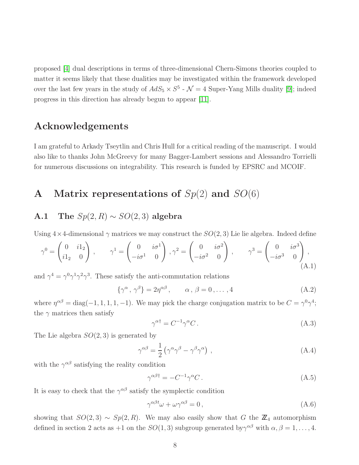proposed [\[4\]](#page-10-2) dual descriptions in terms of three-dimensional Chern-Simons theories coupled to matter it seems likely that these dualities may be investigated within the framework developed over the last few years in the study of  $AdS_5 \times S^5$  -  $\mathcal{N}=4$  Super-Yang Mills duality [\[9\]](#page-10-9); indeed progress in this direction has already begun to appear [\[11\]](#page-10-10).

## Acknowledgements

I am grateful to Arkady Tseytlin and Chris Hull for a critical reading of the manuscript. I would also like to thanks John McGreevy for many Bagger-Lambert sessions and Alessandro Torrielli for numerous discussions on integrability. This research is funded by EPSRC and MCOIF.

## <span id="page-8-0"></span>A Matrix representations of  $Sp(2)$  and  $SO(6)$

## A.1 The  $Sp(2, R) \sim SO(2, 3)$  algebra

Using  $4 \times 4$ -dimensional  $\gamma$  matrices we may construct the  $SO(2,3)$  Lie lie algebra. Indeed define

$$
\gamma^0 = \begin{pmatrix} 0 & i1_2 \\ i1_2 & 0 \end{pmatrix}, \qquad \gamma^1 = \begin{pmatrix} 0 & i\sigma^1 \\ -i\sigma^1 & 0 \end{pmatrix}, \gamma^2 = \begin{pmatrix} 0 & i\sigma^2 \\ -i\sigma^2 & 0 \end{pmatrix}, \qquad \gamma^3 = \begin{pmatrix} 0 & i\sigma^3 \\ -i\sigma^3 & 0 \end{pmatrix},
$$
\n(A.1)

and  $\gamma^4 = \gamma^0 \gamma^1 \gamma^2 \gamma^3$ . These satisfy the anti-commutation relations

$$
\{\gamma^{\alpha}, \gamma^{\beta}\} = 2\eta^{\alpha\beta}, \qquad \alpha, \beta = 0, \dots, 4
$$
 (A.2)

where  $\eta^{\alpha\beta} = \text{diag}(-1, 1, 1, 1, -1)$ . We may pick the charge conjugation matrix to be  $C = \gamma^0 \gamma^4$ ; the  $\gamma$  matrices then satisfy

$$
\gamma^{\alpha \dagger} = C^{-1} \gamma^{\alpha} C. \tag{A.3}
$$

The Lie algebra  $SO(2,3)$  is generated by

$$
\gamma^{\alpha\beta} = \frac{1}{2} \left( \gamma^{\alpha} \gamma^{\beta} - \gamma^{\beta} \gamma^{\alpha} \right) , \qquad (A.4)
$$

with the  $\gamma^{\alpha\beta}$  satisfying the reality condition

$$
\gamma^{\alpha\beta\dagger} = -C^{-1}\gamma^{\alpha}C. \tag{A.5}
$$

It is easy to check that the  $\gamma^{\alpha\beta}$  satisfy the symplectic condition

$$
\gamma^{\alpha\beta t}\omega + \omega\gamma^{\alpha\beta} = 0, \qquad (A.6)
$$

showing that  $SO(2,3) \sim Sp(2, R)$ . We may also easily show that G the  $\mathbb{Z}_4$  automorphism defined in section 2 acts as  $+1$  on the  $SO(1,3)$  subgroup generated by  $\gamma^{\alpha\beta}$  with  $\alpha, \beta = 1, \ldots, 4$ .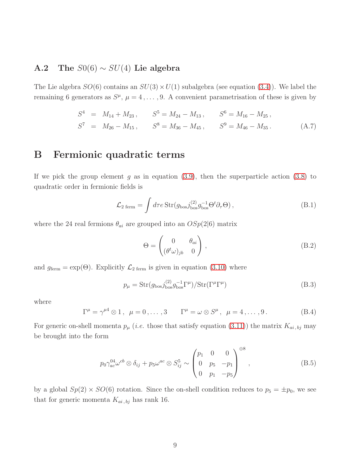### A.2 The  $S0(6) \sim SU(4)$  Lie algebra

The Lie algebra  $SO(6)$  contains an  $SU(3) \times U(1)$  subalgebra (see equation [\(3.4\)](#page-5-1)). We label the remaining 6 generators as  $S^{\mu}$ ,  $\mu = 4, \ldots, 9$ . A convenient parametrisation of these is given by

$$
S4 = M14 + M23, S5 = M24 - M13, S6 = M16 - M25,S7 = M26 - M15, S8 = M36 - M45, S9 = M46 - M35.
$$
 (A.7)

## <span id="page-9-0"></span>B Fermionic quadratic terms

If we pick the group element g as in equation  $(3.9)$ , then the superparticle action  $(3.8)$  to quadratic order in fermionic fields is

$$
\mathcal{L}_{2 \text{ ferm}} = \int d\tau e \operatorname{Str}(g_{\text{bos}} j_{\text{bos}}^{(2)} g_{\text{bos}}^{-1} \Theta^t \partial_\tau \Theta) , \qquad (B.1)
$$

where the 24 real fermions  $\theta_{ai}$  are grouped into an  $OSp(2|6)$  matrix

$$
\Theta = \begin{pmatrix} 0 & \theta_{ai} \\ (\theta^t \omega)_{jb} & 0 \end{pmatrix},
$$
 (B.2)

and  $g_{\text{ferm}} = \exp(\Theta)$ . Explicitly  $\mathcal{L}_{2 \text{ ferm}}$  is given in equation [\(3.10\)](#page-6-3) where

$$
p_{\mu} = \text{Str}(g_{\text{bos}} j_{\text{bos}}^{(2)} g_{\text{bos}}^{-1} \Gamma^{\mu}) / \text{Str}(\Gamma^{\mu} \Gamma^{\mu})
$$
(B.3)

where

$$
\Gamma^{\mu} = \gamma^{\mu 4} \otimes 1 \,, \ \ \mu = 0 \,, \dots \,, 3 \qquad \Gamma^{\mu} = \omega \otimes S^{\mu} \,, \ \ \mu = 4 \,, \dots \,, 9 \,. \tag{B.4}
$$

For generic on-shell momenta  $p_{\mu}$  (*i.e.* those that satisfy equation [\(3.11\)](#page-6-4)) the matrix  $K_{ai, bj}$  may be brought into the form

$$
p_0 \gamma_{ac}^{04} \omega^{cb} \otimes \delta_{ij} + p_5 \omega^{ac} \otimes S_{ij}^5 \sim \begin{pmatrix} p_1 & 0 & 0 \\ 0 & p_5 & -p_1 \\ 0 & p_1 & -p_5 \end{pmatrix}^{\oplus 8},
$$
 (B.5)

by a global  $Sp(2) \times SO(6)$  rotation. Since the on-shell condition reduces to  $p_5 = \pm p_0$ , we see that for generic momenta  $K_{ai, bj}$  has rank 16.